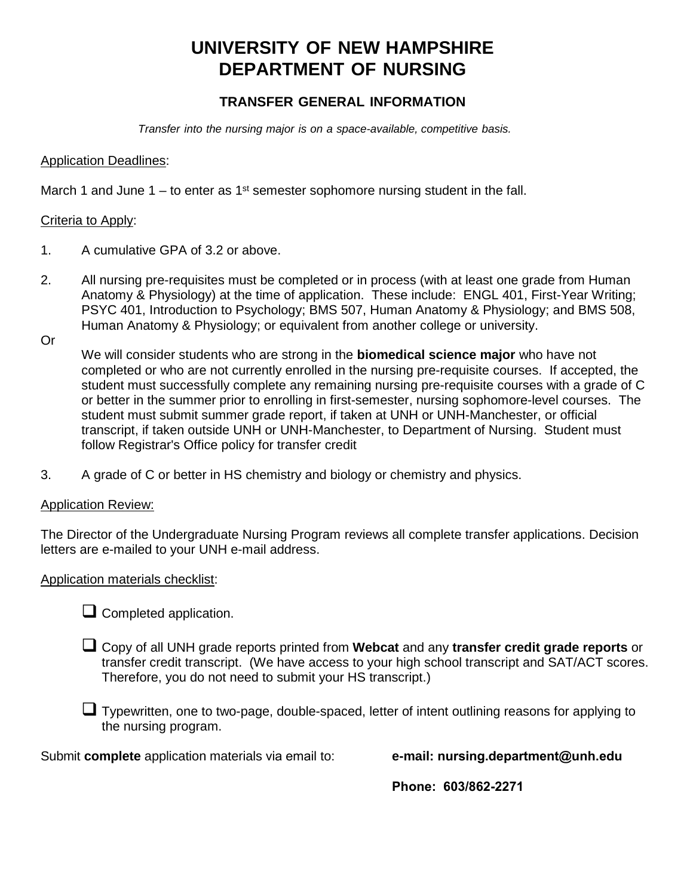# **UNIVERSITY OF NEW HAMPSHIRE DEPARTMENT OF NURSING**

## **TRANSFER GENERAL INFORMATION**

*Transfer into the nursing major is on a space-available, competitive basis.* 

#### Application Deadlines:

March 1 and June  $1 -$  to enter as  $1<sup>st</sup>$  semester sophomore nursing student in the fall.

#### Criteria to Apply:

- 1. A cumulative GPA of 3.2 or above.
- 2. All nursing pre-requisites must be completed or in process (with at least one grade from Human Anatomy & Physiology) at the time of application. These include: ENGL 401, First-Year Writing; PSYC 401, Introduction to Psychology; BMS 507, Human Anatomy & Physiology; and BMS 508, Human Anatomy & Physiology; or equivalent from another college or university.
- Or

We will consider students who are strong in the **biomedical science major** who have not completed or who are not currently enrolled in the nursing pre-requisite courses. If accepted, the student must successfully complete any remaining nursing pre-requisite courses with a grade of C or better in the summer prior to enrolling in first-semester, nursing sophomore-level courses. The student must submit summer grade report, if taken at UNH or UNH-Manchester, or official transcript, if taken outside UNH or UNH-Manchester, to Department of Nursing. Student must follow Registrar's Office policy for transfer credit

3. A grade of C or better in HS chemistry and biology or chemistry and physics.

#### Application Review:

The Director of the Undergraduate Nursing Program reviews all complete transfer applications. Decision letters are e-mailed to your UNH e-mail address.

#### Application materials checklist:

 $\Box$  Completed application.

- Copy of all UNH grade reports printed from **Webcat** and any **transfer credit grade reports** or transfer credit transcript. (We have access to your high school transcript and SAT/ACT scores. Therefore, you do not need to submit your HS transcript.)
- Typewritten, one to two-page, double-spaced, letter of intent outlining reasons for applying to the nursing program.

Submit **complete** application materials via email to: **e-mail: nursing.department@unh.edu**

**Phone: 603/862-2271**